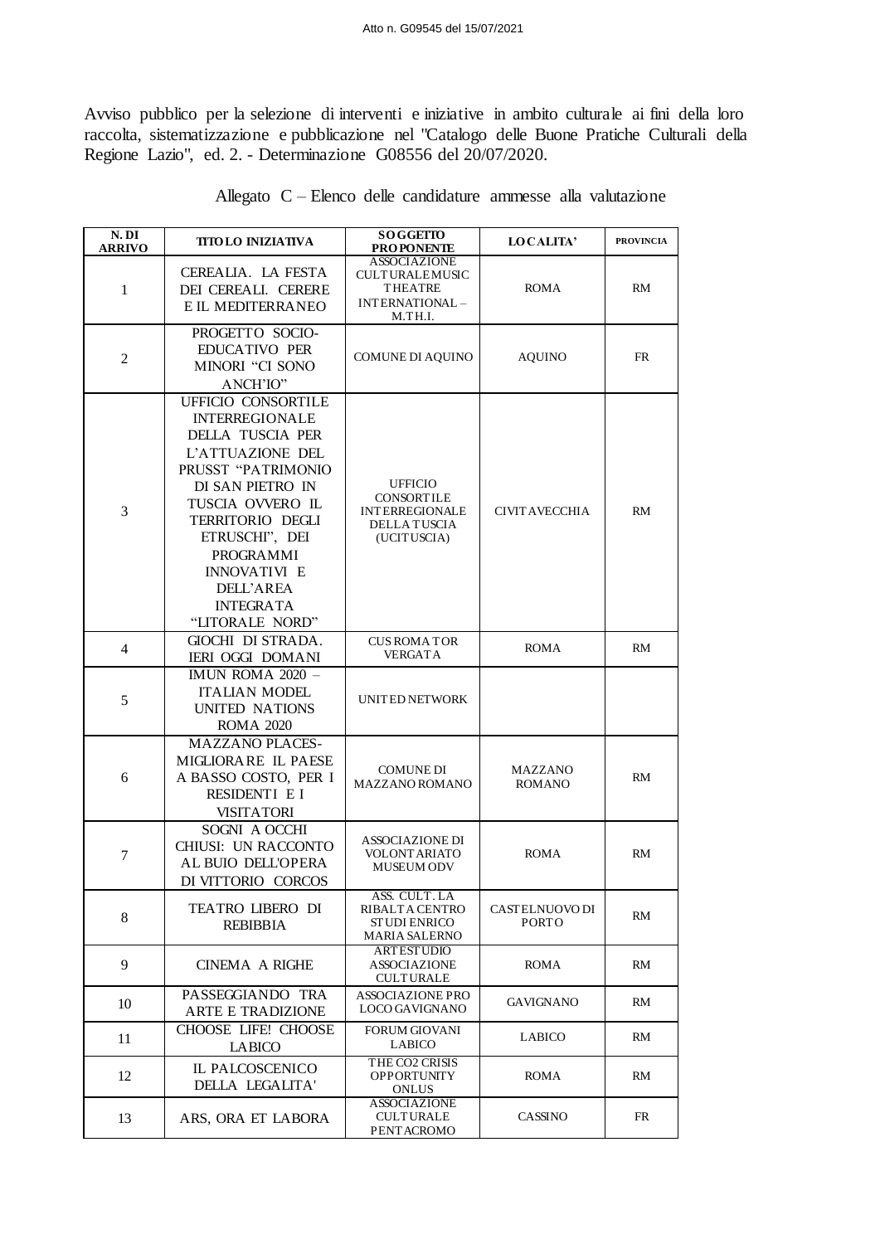Avviso pubblico per la selezione di interventi e iniziative in ambito culturale ai fini della loro raccolta, sistematizzazione e pubblicazione nel "Catalogo delle Buone Pratiche Culturali della Regione Lazio", ed. 2. - Determinazione G08556 del 20/07/2020.

| N. DI<br><b>ARRIVO</b> | <b>TITOLO INIZIATIVA</b>                                                                                                                                                                                                                                                               | <b>SOGGETTO</b><br><b>PROPONENTE</b>                                                               | LOCALITA'                      | <b>PROVINCIA</b> |
|------------------------|----------------------------------------------------------------------------------------------------------------------------------------------------------------------------------------------------------------------------------------------------------------------------------------|----------------------------------------------------------------------------------------------------|--------------------------------|------------------|
| $\mathbf{1}$           | CEREALIA. LA FESTA<br>DEI CEREALI. CERERE<br>E IL MEDITERRANEO                                                                                                                                                                                                                         | <b>ASSOCIAZIONE</b><br><b>CULTURALEMUSIC</b><br><b>THEATRE</b><br>INTERNATIONAL-<br>M.TH.I.        | <b>ROMA</b>                    | RM               |
| $\overline{c}$         | PROGETTO SOCIO-<br>EDUCATIVO PER<br>MINORI "CI SONO<br>ANCH'IO"                                                                                                                                                                                                                        | <b>COMUNE DI AQUINO</b>                                                                            | <b>AQUINO</b>                  | <b>FR</b>        |
| 3                      | UFFICIO CONSORTILE<br><b>INTERREGIONALE</b><br>DELLA TUSCIA PER<br>L'ATTUAZIONE DEL<br>PRUSST "PATRIMONIO<br>DI SAN PIETRO IN<br>TUSCIA OVVERO IL<br>TERRITORIO DEGLI<br>ETRUSCHI", DEI<br>PROGRAMMI<br><b>INNOVATIVI E</b><br><b>DELL'AREA</b><br><b>INTEGRATA</b><br>"LITORALE NORD" | <b>UFFICIO</b><br><b>CONSORTILE</b><br><b>INTERREGIONALE</b><br><b>DELLA TUSCIA</b><br>(UCITUSCIA) | <b>CIVITAVECCHIA</b>           | RM               |
| $\overline{4}$         | GIOCHI DI STRADA.<br><b>IERI OGGI DOMANI</b>                                                                                                                                                                                                                                           | <b>CUS ROMA TOR</b><br><b>VERGATA</b>                                                              | <b>ROMA</b>                    | RM               |
| 5                      | IMUN ROMA 2020 -<br><b>ITALIAN MODEL</b><br>UNITED NATIONS<br><b>ROMA 2020</b>                                                                                                                                                                                                         | UNITED NETWORK                                                                                     |                                |                  |
| 6                      | <b>MAZZANO PLACES-</b><br>MIGLIORARE IL PAESE<br>A BASSO COSTO, PER I<br>RESIDENTI E I<br><b>VISITATORI</b>                                                                                                                                                                            | <b>COMUNE DI</b><br>MAZZANO ROMANO                                                                 | MAZZANO<br><b>ROMANO</b>       | RM               |
| $\tau$                 | SOGNI A OCCHI<br>CHIUSI: UN RACCONTO<br>AL BUIO DELL'OPERA<br>DI VITTORIO CORCOS                                                                                                                                                                                                       | <b>ASSOCIAZIONE DI</b><br><b>VOLONTARIATO</b><br><b>MUSEUM ODV</b>                                 | <b>ROMA</b>                    | <b>RM</b>        |
| 8                      | <b>TEATRO LIBERO DI</b><br><b>REBIBBIA</b>                                                                                                                                                                                                                                             | ASS. CULT. LA<br>RIBALTA CENTRO<br>ST UDI ENRICO<br><b>MARIA SALERNO</b>                           | CASTELNUOVO DI<br><b>PORTO</b> | RM               |
| 9                      | <b>CINEMA A RIGHE</b>                                                                                                                                                                                                                                                                  | ARTESTUDIO<br><b>ASSOCIAZIONE</b><br><b>CULTURALE</b>                                              | ROMA                           | RM               |
| 10                     | PASSEGGIANDO TRA<br>ARTE E TRADIZIONE                                                                                                                                                                                                                                                  | <b>ASSOCIAZIONE PRO</b><br>LOCO GAVIGNANO                                                          | GAVIGNANO                      | RM               |
| 11                     | CHOOSE LIFE! CHOOSE<br><b>LABICO</b>                                                                                                                                                                                                                                                   | <b>FORUM GIOVANI</b><br>LABICO                                                                     | <b>LABICO</b>                  | RM               |
| 12                     | IL PALCOSCENICO<br>DELLA LEGALITA'                                                                                                                                                                                                                                                     | THE CO2 CRISIS<br><b>OPPORTUNITY</b><br><b>ONLUS</b>                                               | ROMA                           | RM.              |
| 13                     | ARS, ORA ET LABORA                                                                                                                                                                                                                                                                     | <b>ASSOCIAZIONE</b><br><b>CULTURALE</b><br>PENT ACROMO                                             | <b>CASSINO</b>                 | FR               |

|  |  |  |  | Allegato C – Elenco delle candidature ammesse alla valutazione |  |  |  |
|--|--|--|--|----------------------------------------------------------------|--|--|--|
|--|--|--|--|----------------------------------------------------------------|--|--|--|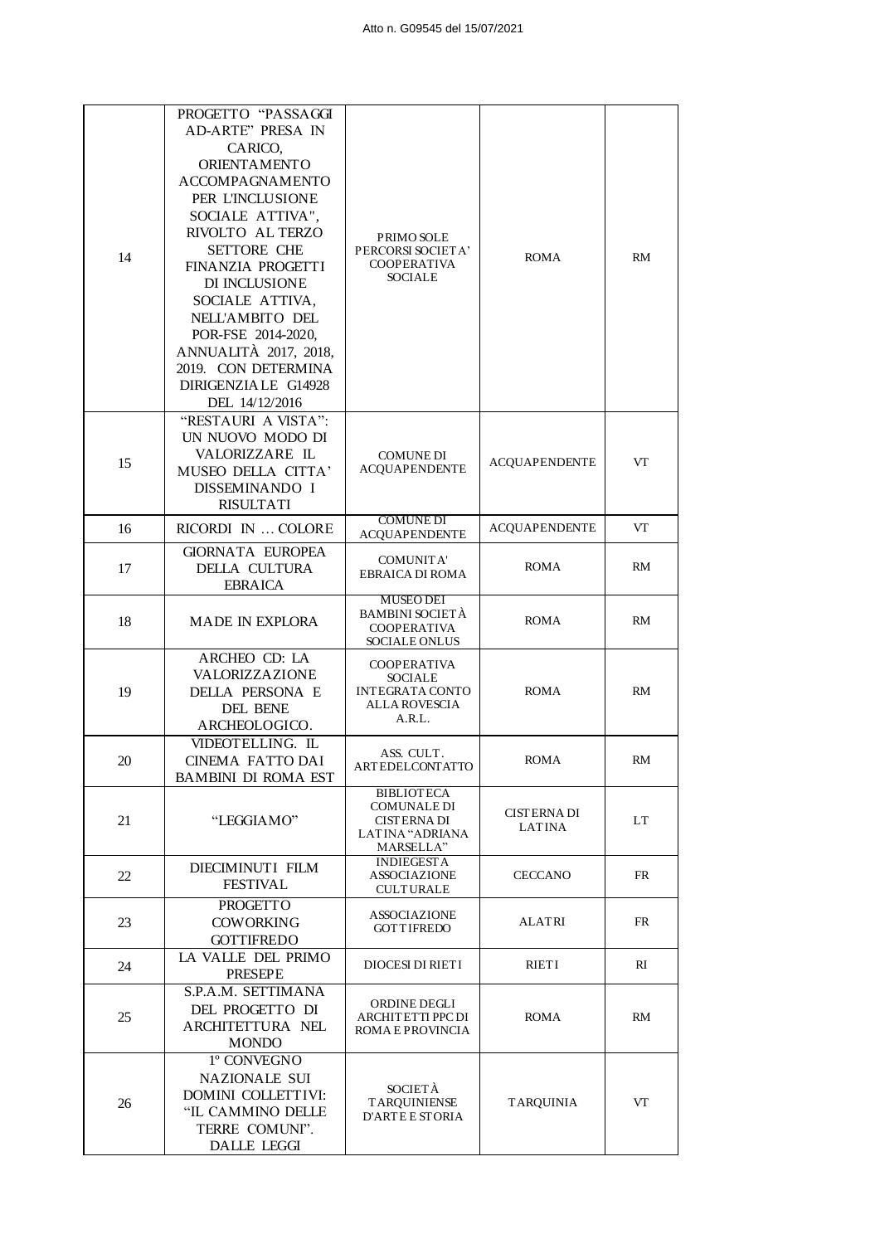| 14 | PROGETTO "PASSAGGI<br><b>AD-ARTE" PRESA IN</b><br>CARICO,<br>ORIENTAMENTO<br><b>ACCOMPAGNAMENTO</b><br>PER L'INCLUSIONE<br>SOCIALE ATTIVA",<br>RIVOLTO AL TERZO<br><b>SETTORE CHE</b><br>FINANZIA PROGETTI<br>DI INCLUSIONE<br>SOCIALE ATTIVA,<br>NELL'AMBITO DEL<br>POR-FSE 2014-2020,<br>ANNUALITÀ 2017, 2018,<br>2019. CON DETERMINA<br>DIRIGENZIA LE G14928<br>DEL 14/12/2016 | PRIMO SOLE<br>PERCORSI SOCIETA'<br><b>COOPERATIVA</b><br><b>SOCIALE</b>                       | <b>ROMA</b>                         | <b>RM</b> |
|----|-----------------------------------------------------------------------------------------------------------------------------------------------------------------------------------------------------------------------------------------------------------------------------------------------------------------------------------------------------------------------------------|-----------------------------------------------------------------------------------------------|-------------------------------------|-----------|
| 15 | "RESTAURI A VISTA":<br>UN NUOVO MODO DI<br>VALORIZZARE IL<br>MUSEO DELLA CITTA'<br>DISSEMINANDO I<br><b>RISULTATI</b>                                                                                                                                                                                                                                                             | <b>COMUNE DI</b><br><b>ACOUAPENDENTE</b>                                                      | <b>ACOUAPENDENTE</b>                | VT        |
| 16 | RICORDI IN  COLORE                                                                                                                                                                                                                                                                                                                                                                | <b>COMUNE DI</b><br><b>ACQUAPENDENTE</b>                                                      | <b>ACQUAPENDENTE</b>                | VT        |
| 17 | <b>GIORNATA EUROPEA</b><br>DELLA CULTURA<br><b>EBRAICA</b>                                                                                                                                                                                                                                                                                                                        | <b>COMUNITA'</b><br><b>EBRAICA DI ROMA</b>                                                    | <b>ROMA</b>                         | RM        |
| 18 | <b>MADE IN EXPLORA</b>                                                                                                                                                                                                                                                                                                                                                            | <b>MUSEO DEI</b><br><b>BAMBINI SOCIETÀ</b><br><b>COOPERATIVA</b><br>SOCIALE ONLUS             | <b>ROMA</b>                         | <b>RM</b> |
| 19 | ARCHEO CD: LA<br>VALORIZZAZIONE<br>DELLA PERSONA E<br>DEL BENE<br>ARCHEOLOGICO.                                                                                                                                                                                                                                                                                                   | <b>COOPERATIVA</b><br><b>SOCIALE</b><br><b>INTEGRATA CONTO</b><br>ALLA ROVESCIA<br>A.R.L.     | <b>ROMA</b>                         | <b>RM</b> |
| 20 | VIDEOTELLING. IL<br>CINEMA FATTO DAI<br><b>BAMBINI DI ROMA EST</b>                                                                                                                                                                                                                                                                                                                | ASS. CULT.<br>ARTEDELCONTATTO                                                                 | <b>ROMA</b>                         | RM        |
| 21 | "LEGGIAMO"                                                                                                                                                                                                                                                                                                                                                                        | <b>BIBLIOTECA</b><br><b>COMUNALE DI</b><br><b>CISTERNA DI</b><br>LATINA "ADRIANA<br>MARSELLA" | <b>CISTERNA DI</b><br><b>LATINA</b> | LT        |
| 22 | DIECIMINUTI FILM<br><b>FESTIVAL</b>                                                                                                                                                                                                                                                                                                                                               | <b>INDIEGESTA</b><br><b>ASSOCIAZIONE</b><br><b>CULTURALE</b>                                  | <b>CECCANO</b>                      | FR        |
| 23 | <b>PROGETTO</b><br><b>COWORKING</b><br><b>GOTTIFREDO</b>                                                                                                                                                                                                                                                                                                                          | <b>ASSOCIAZIONE</b><br><b>GOTTIFREDO</b>                                                      | <b>ALATRI</b>                       | <b>FR</b> |
| 24 | LA VALLE DEL PRIMO<br><b>PRESEPE</b>                                                                                                                                                                                                                                                                                                                                              | <b>DIOCESI DI RIETI</b>                                                                       | RIETI                               | RI        |
| 25 | S.P.A.M. SETTIMANA<br>DEL PROGETTO DI<br>ARCHITETTURA NEL<br><b>MONDO</b>                                                                                                                                                                                                                                                                                                         | ORDINE DEGLI<br>ARCHITETTI PPC DI<br>ROMA E PROVINCIA                                         | <b>ROMA</b>                         | RM        |
| 26 | 1° CONVEGNO<br>NAZIONALE SUI<br>DOMINI COLLETTIVI:<br>"IL CAMMINO DELLE<br>TERRE COMUNI".<br><b>DALLE LEGGI</b>                                                                                                                                                                                                                                                                   | <b>SOCIETÀ</b><br><b>TARQUINIENSE</b><br><b>D'ARTE E STORIA</b>                               | <b>TARQUINIA</b>                    | VT        |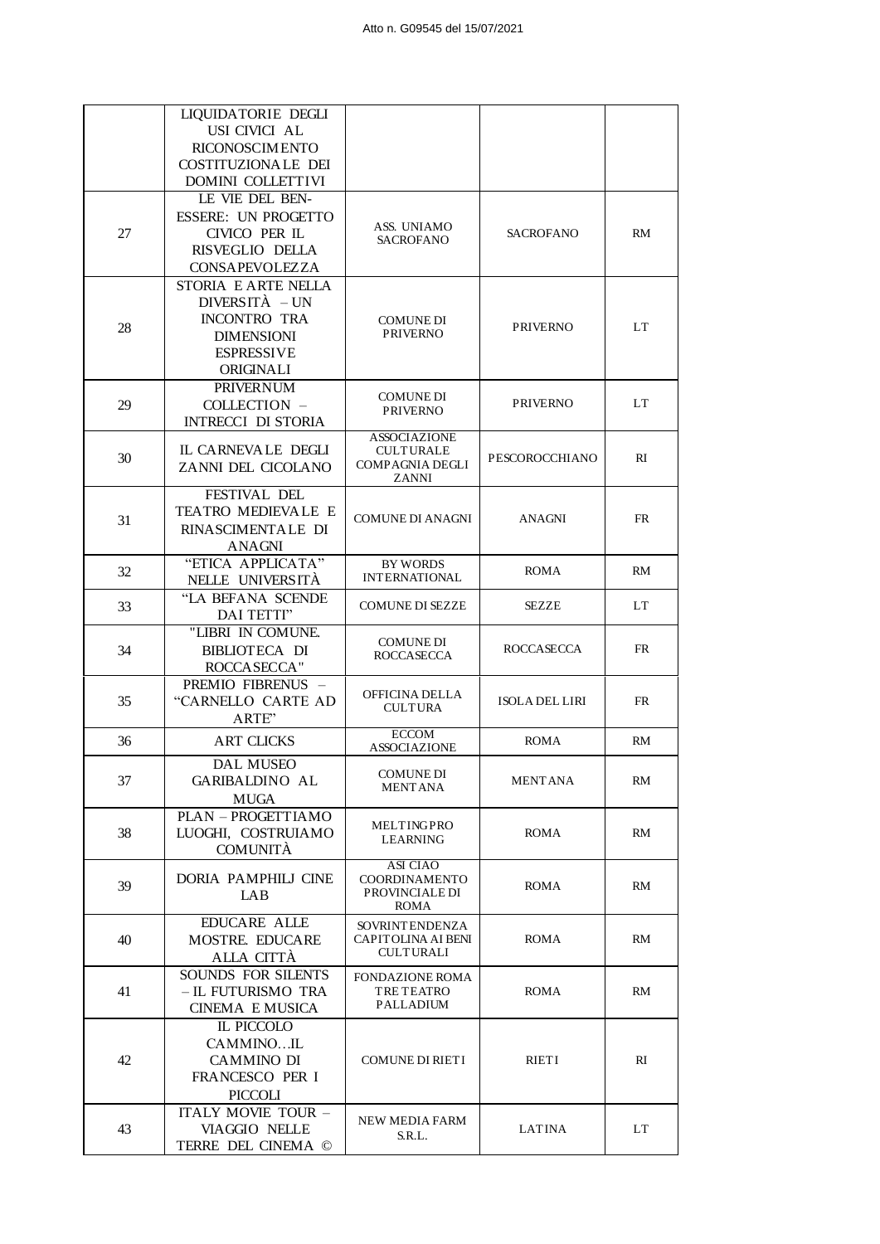|    | LIQUIDATORIE DEGLI                    |                                              |                       |           |
|----|---------------------------------------|----------------------------------------------|-----------------------|-----------|
|    | USI CIVICI AL                         |                                              |                       |           |
|    | RICONOSCIMENTO                        |                                              |                       |           |
|    | <b>COSTITUZIONALE DEI</b>             |                                              |                       |           |
|    | <b>DOMINI COLLETTIVI</b>              |                                              |                       |           |
|    | LE VIE DEL BEN-                       |                                              |                       |           |
|    | <b>ESSERE: UN PROGETTO</b>            | ASS. UNIAMO                                  |                       |           |
| 27 | CIVICO PER IL                         | <b>SACROFANO</b>                             | <b>SACROFANO</b>      | <b>RM</b> |
|    | RISVEGLIO DELLA                       |                                              |                       |           |
|    | CONSAPEVOLEZZA<br>STORIA E ARTE NELLA |                                              |                       |           |
|    | DIVERSITÀ – UN                        |                                              |                       |           |
|    | <b>INCONTRO TRA</b>                   | <b>COMUNE DI</b>                             |                       |           |
| 28 | <b>DIMENSIONI</b>                     | <b>PRIVERNO</b>                              | <b>PRIVERNO</b>       | LT        |
|    | <b>ESPRESSIVE</b>                     |                                              |                       |           |
|    | ORIGINALI                             |                                              |                       |           |
|    | <b>PRIVERNUM</b>                      |                                              |                       |           |
| 29 | COLLECTION -                          | COMUNE DI<br><b>PRIVERNO</b>                 | <b>PRIVERNO</b>       | LT        |
|    | <b>INTRECCI DI STORIA</b>             |                                              |                       |           |
|    |                                       | <b>ASSOCIAZIONE</b>                          |                       |           |
| 30 | IL CARNEVALE DEGLI                    | <b>CULTURALE</b><br><b>COMPAGNIA DEGLI</b>   | PESCOROCCHIANO        | RI        |
|    | ZANNI DEL CICOLANO                    | <b>ZANNI</b>                                 |                       |           |
|    | FESTIVAL DEL                          |                                              |                       |           |
|    | TEATRO MEDIEVALE E                    | <b>COMUNE DI ANAGNI</b>                      | <b>ANAGNI</b>         | <b>FR</b> |
| 31 | RINASCIMENTALE DI                     |                                              |                       |           |
|    | ANAGNI                                |                                              |                       |           |
| 32 | "ETICA APPLICATA"                     | <b>BY WORDS</b>                              | <b>ROMA</b>           | RM        |
|    | NELLE UNIVERSITÀ                      | <b>INTERNATIONAL</b>                         |                       |           |
| 33 | "LA BEFANA SCENDE                     | <b>COMUNE DI SEZZE</b>                       | <b>SEZZE</b>          | LT        |
|    | DAI TETTI"                            |                                              |                       |           |
|    | "LIBRI IN COMUNE.                     | <b>COMUNE DI</b>                             |                       |           |
| 34 | <b>BIBLIOTECA DI</b>                  | <b>ROCCASECCA</b>                            | <b>ROCCASECCA</b>     | <b>FR</b> |
|    | ROCCASECCA"<br>PREMIO FIBRENUS -      |                                              |                       |           |
| 35 | "CARNELLO CARTE AD                    | OFFICINA DELLA                               | <b>ISOLA DEL LIRI</b> | <b>FR</b> |
|    | ARTE"                                 | <b>CULTURA</b>                               |                       |           |
|    |                                       | <b>ECCOM</b>                                 | <b>ROMA</b>           | RM        |
| 36 | <b>ART CLICKS</b>                     | <b>ASSOCIAZIONE</b>                          |                       |           |
|    | DAL MUSEO                             | COMUNE DI                                    |                       |           |
| 37 | <b>GARIBALDINO AL</b>                 | <b>MENTANA</b>                               | MENTANA               | RM        |
|    | <b>MUGA</b>                           |                                              |                       |           |
|    | PLAN - PROGETTIAMO                    | MELTINGPRO                                   |                       |           |
| 38 | LUOGHI, COSTRUIAMO<br><b>COMUNITÀ</b> | <b>LEARNING</b>                              | ROMA                  | RM        |
|    |                                       | ASI CIAO                                     |                       |           |
| 39 | DORIA PAMPHILJ CINE                   | COORDINAMENTO                                | ROMA                  | RM        |
|    | LAB                                   | PROVINCIALE DI                               |                       |           |
|    | EDUCARE ALLE                          | <b>ROMA</b>                                  |                       |           |
| 40 | MOSTRE. EDUCARE                       | <b>SOVRINT ENDENZA</b><br>CAPITOLINA AI BENI | <b>ROMA</b>           | RM        |
|    | ALLA CITTÀ                            | <b>CULTURALI</b>                             |                       |           |
|    | SOUNDS FOR SILENTS                    | <b>FONDAZIONE ROMA</b>                       |                       |           |
| 41 | - IL FUTURISMO TRA                    | <b>TRE TEATRO</b>                            | ROMA                  | RM        |
|    | <b>CINEMA E MUSICA</b>                | PALLADIUM                                    |                       |           |
|    | IL PICCOLO                            |                                              |                       |           |
|    | CAMMINOIL                             |                                              |                       |           |
| 42 | <b>CAMMINO DI</b>                     | <b>COMUNE DI RIETI</b>                       | RIETI                 | RI        |
|    | FRANCESCO PER I                       |                                              |                       |           |
|    | <b>PICCOLI</b>                        |                                              |                       |           |
| 43 | ITALY MOVIE TOUR -                    | <b>NEW MEDIA FARM</b>                        |                       |           |
|    | <b>VIAGGIO NELLE</b>                  | S.R.L.                                       | <b>LATINA</b>         | LT        |
|    | TERRE DEL CINEMA ©                    |                                              |                       |           |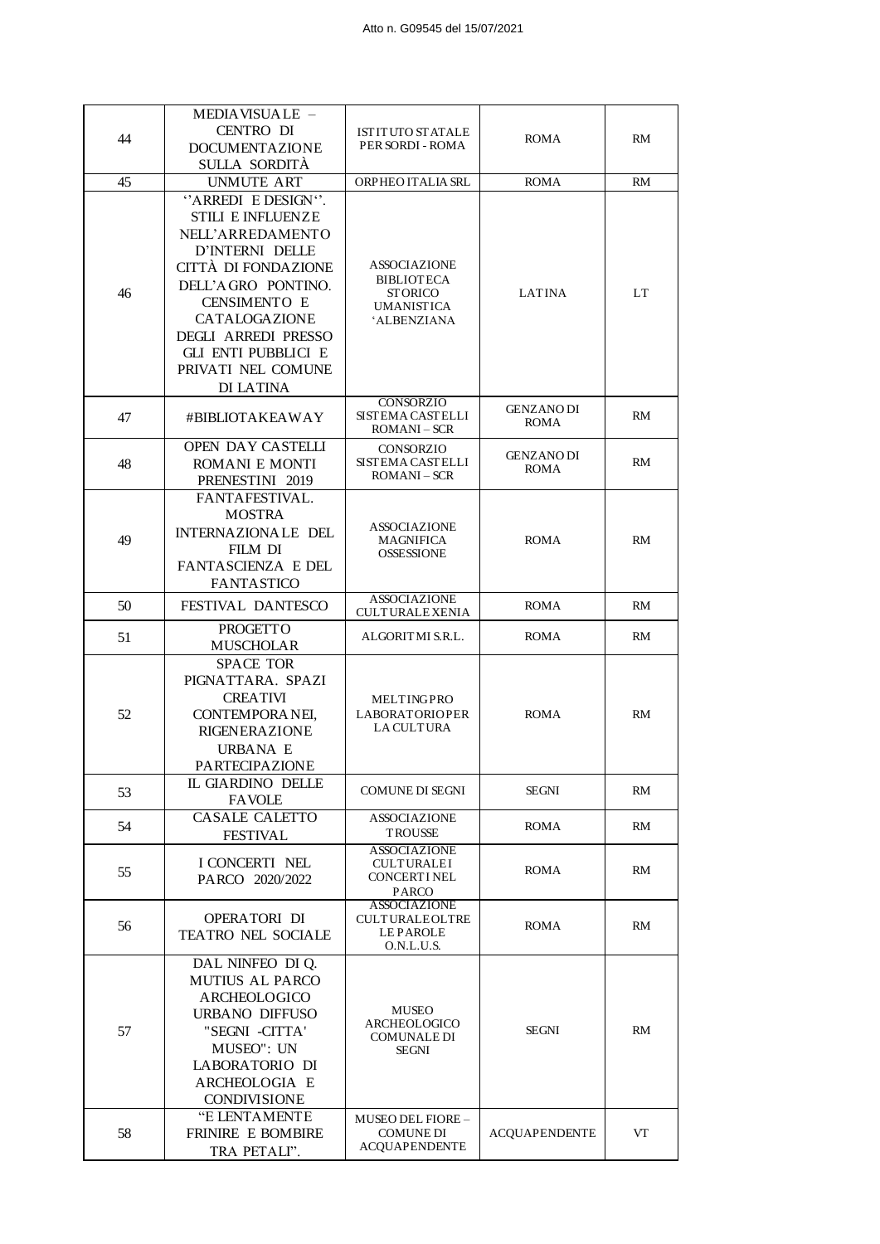|    | MEDIAVISUALE -             |                                              |                      |           |
|----|----------------------------|----------------------------------------------|----------------------|-----------|
| 44 | <b>CENTRO DI</b>           | <b>ISTITUTO STATALE</b>                      | <b>ROMA</b>          | RM        |
|    | <b>DOCUMENTAZIONE</b>      | PER SORDI - ROMA                             |                      |           |
|    | SULLA SORDITÀ              |                                              |                      |           |
| 45 | <b>UNMUTE ART</b>          | ORPHEO ITALIA SRL                            | <b>ROMA</b>          | RM        |
|    | "ARREDI E DESIGN".         |                                              |                      |           |
|    | <b>STILI E INFLUENZE</b>   |                                              |                      |           |
|    | NELL'ARREDAMENTO           |                                              |                      |           |
|    |                            |                                              |                      |           |
|    | D'INTERNI DELLE            | <b>ASSOCIAZIONE</b>                          |                      |           |
|    | CITTÀ DI FONDAZIONE        | <b>BIBLIOTECA</b>                            |                      |           |
| 46 | DELL'AGRO PONTINO.         | <b>STORICO</b>                               | LATINA               | LT        |
|    | <b>CENSIMENTO E</b>        | <b>UMANISTICA</b>                            |                      |           |
|    | CATALOGAZIONE              | <b>ALBENZIANA</b>                            |                      |           |
|    | <b>DEGLI ARREDI PRESSO</b> |                                              |                      |           |
|    | <b>GLI ENTI PUBBLICI E</b> |                                              |                      |           |
|    | PRIVATI NEL COMUNE         |                                              |                      |           |
|    | DI LATINA                  |                                              |                      |           |
|    |                            | <b>CONSORZIO</b>                             | <b>GENZANO DI</b>    |           |
| 47 | #BIBLIOTAKEAWAY            | <b>SISTEMA CASTELLI</b>                      | <b>ROMA</b>          | RM        |
|    |                            | <b>ROMANI</b> – SCR                          |                      |           |
|    | OPEN DAY CASTELLI          | CONSORZIO                                    | <b>GENZANO DI</b>    |           |
| 48 | <b>ROMANI E MONTI</b>      | <b>SISTEMA CASTELLI</b><br><b>ROMANI-SCR</b> | <b>ROMA</b>          | RM        |
|    | PRENESTINI 2019            |                                              |                      |           |
|    | FANTAFESTIVAL.             |                                              |                      |           |
|    | <b>MOSTRA</b>              |                                              |                      |           |
| 49 | INTERNAZIONALE DEL         | <b>ASSOCIAZIONE</b><br>MAGNIFICA             | <b>ROMA</b>          | RM        |
|    | <b>FILM DI</b>             | <b>OSSESSIONE</b>                            |                      |           |
|    | FANTASCIENZA E DEL         |                                              |                      |           |
|    | <b>FANTASTICO</b>          |                                              |                      |           |
| 50 | FESTIVAL DANTESCO          | <b>ASSOCIAZIONE</b>                          | <b>ROMA</b>          | RM        |
|    |                            | <b>CULTURALE XENIA</b>                       |                      |           |
| 51 | <b>PROGETTO</b>            | ALGORITMI S.R.L.                             | <b>ROMA</b>          | RM        |
|    | <b>MUSCHOLAR</b>           |                                              |                      |           |
|    | <b>SPACE TOR</b>           |                                              |                      |           |
|    | PIGNATTARA. SPAZI          |                                              |                      |           |
|    | <b>CREATIVI</b>            | MELTINGPRO                                   |                      |           |
| 52 | CONTEMPORANEI,             | <b>LABORATORIOPER</b><br><b>LA CULTURA</b>   | <b>ROMA</b>          | <b>RM</b> |
|    | <b>RIGENERAZIONE</b>       |                                              |                      |           |
|    | <b>URBANA E</b>            |                                              |                      |           |
|    | PARTECIPAZIONE             |                                              |                      |           |
| 53 | IL GIARDINO DELLE          | <b>COMUNE DI SEGNI</b>                       | <b>SEGNI</b>         | RM        |
|    | <b>FAVOLE</b>              |                                              |                      |           |
| 54 | <b>CASALE CALETTO</b>      | <b>ASSOCIAZIONE</b>                          | ROMA                 | RM        |
|    | <b>FESTIVAL</b>            | TROUSSE                                      |                      |           |
|    |                            | <b>ASSOCIAZIONE</b>                          |                      |           |
| 55 | I CONCERTI NEL             | <b>CULTURALEI</b><br><b>CONCERTINEL</b>      | <b>ROMA</b>          | RM        |
|    | PARCO 2020/2022            | <b>PARCO</b>                                 |                      |           |
|    |                            | <b>ASSOCIAZIONE</b>                          |                      |           |
| 56 | OPERATORI DI               | <b>CULTURALEOLTRE</b>                        | <b>ROMA</b>          | RM        |
|    | TEATRO NEL SOCIALE         | <b>LEPAROLE</b>                              |                      |           |
|    |                            | O.N.L.U.S.                                   |                      |           |
|    | DAL NINFEO DI Q.           |                                              |                      |           |
| 57 | <b>MUTIUS AL PARCO</b>     |                                              |                      |           |
|    | ARCHEOLOGICO               | <b>MUSEO</b>                                 |                      |           |
|    | <b>URBANO DIFFUSO</b>      | ARCHEOLOGICO                                 |                      |           |
|    | "SEGNI -CITTA'             | <b>COMUNALE DI</b>                           | <b>SEGNI</b>         | <b>RM</b> |
|    | MUSEO": UN                 | SEGNI                                        |                      |           |
|    | LABORATORIO DI             |                                              |                      |           |
|    | ARCHEOLOGIA E              |                                              |                      |           |
|    | <b>CONDIVISIONE</b>        |                                              |                      |           |
|    | "E LENTAMENTE              | <b>MUSEO DEL FIORE -</b>                     |                      |           |
| 58 | FRINIRE E BOMBIRE          | <b>COMUNE DI</b>                             | <b>ACQUAPENDENTE</b> | VT        |
|    | TRA PETALI".               | <b>ACQUAPENDENTE</b>                         |                      |           |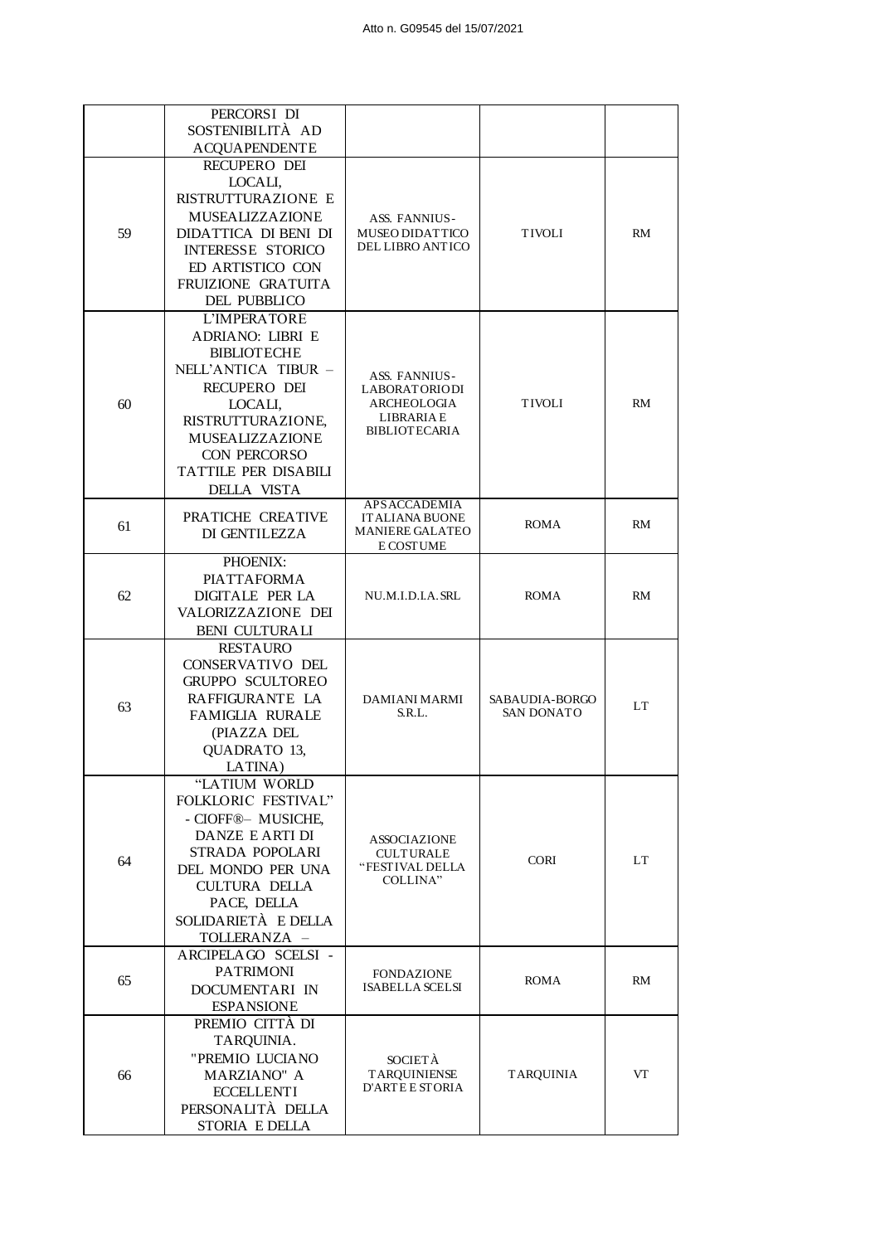|    | PERCORSI DI<br>SOSTENIBILITÀ AD           |                                                          |                                     |           |
|----|-------------------------------------------|----------------------------------------------------------|-------------------------------------|-----------|
|    | <b>ACQUAPENDENTE</b>                      |                                                          |                                     |           |
|    | RECUPERO DEI                              |                                                          |                                     |           |
|    | LOCALI,                                   |                                                          |                                     |           |
|    | RISTRUTTURAZIONE E                        |                                                          |                                     |           |
|    | MUSEALIZZAZIONE                           | ASS. FANNIUS-                                            |                                     |           |
| 59 | DIDATTICA DI BENI DI                      | <b>MUSEO DIDATTICO</b>                                   | <b>TIVOLI</b>                       | <b>RM</b> |
|    | <b>INTERESSE STORICO</b>                  | <b>DEL LIBRO ANTICO</b>                                  |                                     |           |
|    | ED ARTISTICO CON                          |                                                          |                                     |           |
|    | FRUIZIONE GRATUITA                        |                                                          |                                     |           |
|    | DEL PUBBLICO                              |                                                          |                                     |           |
|    | L'IMPERATORE<br><b>ADRIANO: LIBRI E</b>   |                                                          |                                     |           |
|    | <b>BIBLIOTECHE</b>                        |                                                          |                                     |           |
|    | NELL'ANTICA TIBUR -                       |                                                          |                                     |           |
|    | RECUPERO DEI                              | ASS. FANNIUS-<br><b>LABORATORIODI</b>                    |                                     |           |
| 60 | LOCALI,                                   | <b>ARCHEOLOGIA</b>                                       | <b>TIVOLI</b>                       | RM        |
|    | RISTRUTTURAZIONE,                         | LIBRARIA E                                               |                                     |           |
|    | <b>MUSEALIZZAZIONE</b>                    | <b>BIBLIOTECARIA</b>                                     |                                     |           |
|    | CON PERCORSO                              |                                                          |                                     |           |
|    | TATTILE PER DISABILI                      |                                                          |                                     |           |
|    | DELLA VISTA                               | <b>APSACCADEMIA</b>                                      |                                     |           |
|    | PRATICHE CREATIVE                         | <b>ITALIANA BUONE</b>                                    | <b>ROMA</b>                         | <b>RM</b> |
| 61 | DI GENTILEZZA                             | <b>MANIERE GALATEO</b>                                   |                                     |           |
|    | PHOENIX:                                  | E COST UME                                               |                                     |           |
|    | PIATTAFORMA                               | NU.M.I.D.I.A. SRL                                        | <b>ROMA</b>                         | <b>RM</b> |
| 62 | DIGITALE PER LA                           |                                                          |                                     |           |
|    | VALORIZZAZIONE DEI                        |                                                          |                                     |           |
|    | <b>BENI CULTURALI</b>                     |                                                          |                                     |           |
|    | <b>RESTAURO</b>                           |                                                          | SABAUDIA-BORGO<br><b>SAN DONATO</b> |           |
|    | CONSERVATIVO DEL                          |                                                          |                                     |           |
|    | <b>GRUPPO SCULTOREO</b>                   |                                                          |                                     |           |
| 63 | RAFFIGURANTE LA                           | <b>DAMIANI MARMI</b><br>S.R.L.                           |                                     | LT        |
|    | <b>FAMIGLIA RURALE</b><br>(PIAZZA DEL     |                                                          |                                     |           |
|    | QUADRATO 13,                              |                                                          |                                     |           |
|    | LATINA)                                   |                                                          |                                     |           |
|    | "LATIUM WORLD                             |                                                          |                                     |           |
|    | FOLKLORIC FESTIVAL"                       |                                                          | <b>CORI</b>                         |           |
|    | - CIOFF®- MUSICHE,                        |                                                          |                                     | LT        |
|    | DANZE E ARTI DI                           | <b>ASSOCIAZIONE</b>                                      |                                     |           |
| 64 | STRADA POPOLARI                           | <b>CULTURALE</b><br>"FESTIVAL DELLA                      |                                     |           |
|    | DEL MONDO PER UNA<br><b>CULTURA DELLA</b> | COLLINA"                                                 |                                     |           |
|    | PACE, DELLA                               |                                                          |                                     |           |
|    | SOLIDARIETÀ E DELLA                       |                                                          |                                     |           |
|    | TOLLERANZA -                              |                                                          |                                     |           |
|    | ARCIPELAGO SCELSI-                        |                                                          |                                     |           |
| 65 | <b>PATRIMONI</b>                          | <b>FONDAZIONE</b>                                        | <b>ROMA</b>                         | <b>RM</b> |
|    | DOCUMENTARI IN                            | <b>ISABELLA SCELSI</b>                                   |                                     |           |
|    | <b>ESPANSIONE</b>                         |                                                          |                                     |           |
|    | PREMIO CITTÀ DI                           |                                                          | <b>TARQUINIA</b>                    |           |
| 66 | TARQUINIA.                                | SOCIETÀ<br><b>TARQUINIENSE</b><br><b>D'ARTE E STORIA</b> |                                     |           |
|    | "PREMIO LUCIANO<br><b>MARZIANO" A</b>     |                                                          |                                     | VT        |
|    | <b>ECCELLENTI</b>                         |                                                          |                                     |           |
|    | PERSONALITÀ DELLA                         |                                                          |                                     |           |
|    | STORIA E DELLA                            |                                                          |                                     |           |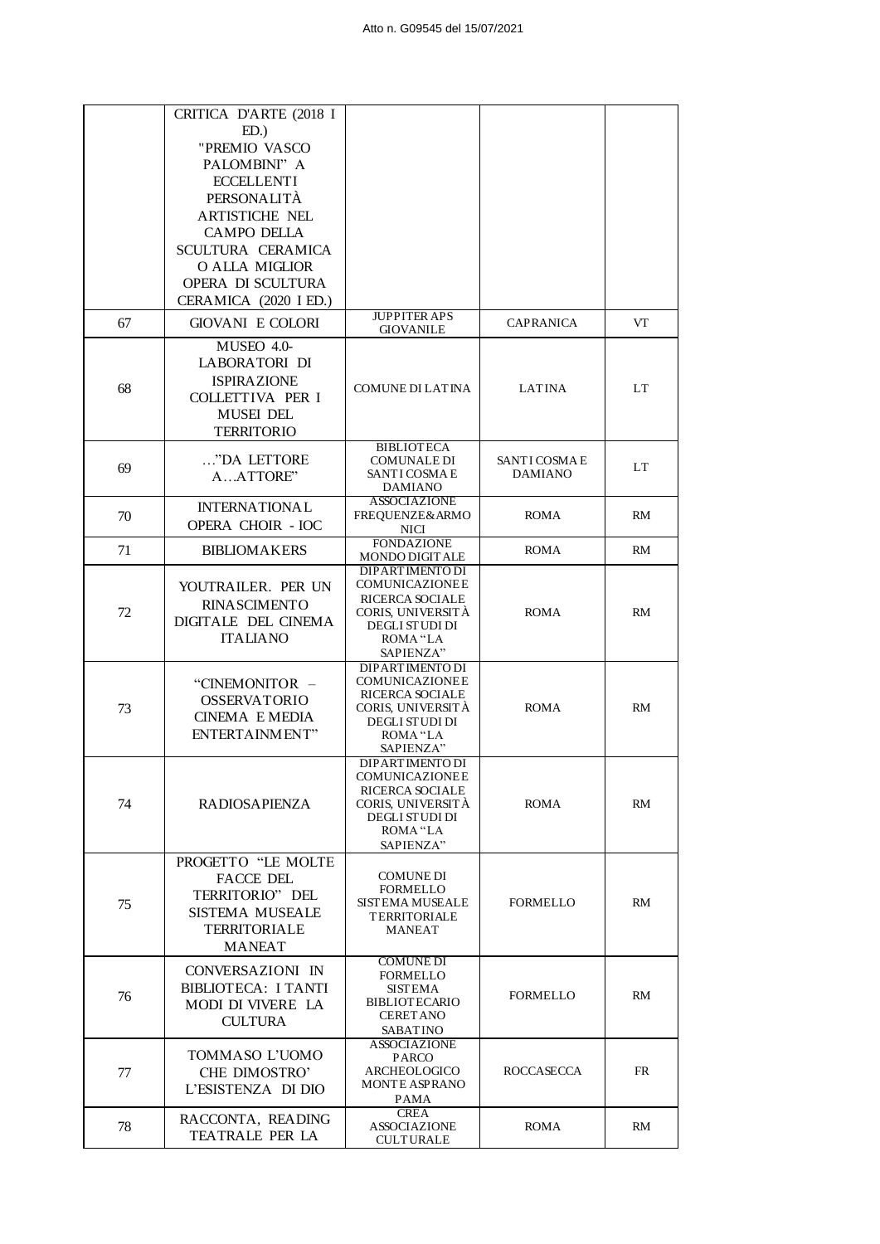|    | CRITICA D'ARTE (2018 I                           |                                                 |                   |           |
|----|--------------------------------------------------|-------------------------------------------------|-------------------|-----------|
|    | ED.                                              |                                                 |                   |           |
|    | "PREMIO VASCO<br>PALOMBINI" A                    |                                                 |                   |           |
|    | <b>ECCELLENTI</b>                                |                                                 |                   |           |
|    | PERSONALITÀ                                      |                                                 |                   |           |
|    | <b>ARTISTICHE NEL</b>                            |                                                 |                   |           |
|    | <b>CAMPO DELLA</b>                               |                                                 |                   |           |
|    | SCULTURA CERAMICA                                |                                                 |                   |           |
|    | O ALLA MIGLIOR                                   |                                                 |                   |           |
|    | OPERA DI SCULTURA<br>CERAMICA (2020 I ED.)       |                                                 |                   |           |
| 67 | <b>GIOVANI E COLORI</b>                          | <b>JUPPITER APS</b>                             |                   | VT        |
|    |                                                  | <b>GIOVANILE</b>                                | CAPRANICA         |           |
|    | MUSEO 4.0-<br>LABORATORI DI                      |                                                 |                   |           |
|    | <b>ISPIRAZIONE</b>                               |                                                 |                   |           |
| 68 | COLLETTIVA PER I                                 | COMUNE DI LATINA                                | <b>LATINA</b>     | LT        |
|    | <b>MUSEI DEL</b>                                 |                                                 |                   |           |
|    | <b>TERRITORIO</b>                                |                                                 |                   |           |
|    | "DA LETTORE                                      | <b>BIBLIOTECA</b><br><b>COMUNALE DI</b>         | SANTI COSMA E     |           |
| 69 | AATTORE"                                         | SANTI COSMA E                                   | <b>DAMIANO</b>    | LT        |
|    |                                                  | <b>DAMIANO</b><br><b>ASSOCIAZIONE</b>           |                   |           |
| 70 | <b>INTERNATIONAL</b><br><b>OPERA CHOIR - IOC</b> | FREQUENZE& ARMO                                 | <b>ROMA</b>       | RM        |
|    |                                                  | NICI<br><b>FONDAZIONE</b>                       |                   |           |
| 71 | <b>BIBLIOMAKERS</b>                              | MONDO DIGITALE                                  | <b>ROMA</b>       | RM        |
|    | YOUTRAILER. PER UN                               | <b>DIPARTIMENTO DI</b><br><b>COMUNICAZIONEE</b> |                   |           |
|    | <b>RINASCIMENTO</b>                              | RICERCA SOCIALE                                 |                   |           |
| 72 | DIGITALE DEL CINEMA                              | CORIS, UNIVERSITÀ<br><b>DEGLI STUDI DI</b>      | <b>ROMA</b>       | <b>RM</b> |
|    | <b>ITALIANO</b>                                  | ROMA "LA                                        |                   |           |
|    |                                                  | SAPIENZA"<br><b>DIPARTIMENTO DI</b>             |                   |           |
|    | "CINEMONITOR -                                   | COMUNICAZIONEE                                  |                   |           |
| 73 | <b>OSSERVATORIO</b>                              | RICERCA SOCIALE<br>CORIS, UNIVERSITÀ            | <b>ROMA</b>       | <b>RM</b> |
|    | <b>CINEMA E MEDIA</b>                            | DEGLI STUDI DI                                  |                   |           |
|    | ENTERTAINMENT"                                   | ROMA "LA<br>SAPIENZA"                           |                   |           |
|    |                                                  | DIPARTIMENTO DI                                 |                   |           |
|    |                                                  | COMUNICAZIONEE<br>RICERCA SOCIALE               |                   |           |
| 74 | <b>RADIOSAPIENZA</b>                             | CORIS, UNIVERSITÀ                               | <b>ROMA</b>       | RM        |
|    |                                                  | DEGLI STUDI DI<br>ROMA "LA                      |                   |           |
|    |                                                  | SAPIENZA"                                       |                   |           |
|    | PROGETTO "LE MOLTE                               |                                                 |                   |           |
|    | <b>FACCE DEL</b><br>TERRITORIO" DEL              | <b>COMUNE DI</b><br><b>FORMELLO</b>             |                   |           |
| 75 | <b>SISTEMA MUSEALE</b>                           | SISTEMA MUSEALE                                 | <b>FORMELLO</b>   | RM        |
|    | <b>TERRITORIALE</b>                              | TERRITORIALE<br>MANEAT                          |                   |           |
|    | <b>MANEAT</b>                                    |                                                 |                   |           |
|    | CONVERSAZIONI IN                                 | <b>COMUNE DI</b>                                |                   |           |
|    | BIBLIOTECA: I TANTI                              | <b>FORMELLO</b><br><b>SISTEMA</b>               |                   |           |
| 76 | MODI DI VIVERE LA                                | <b>BIBLIOTECARIO</b>                            | <b>FORMELLO</b>   | <b>RM</b> |
|    | <b>CULTURA</b>                                   | <b>CERET ANO</b><br>SABATINO                    |                   |           |
|    | TOMMASO L'UOMO                                   | <b>ASSOCIAZIONE</b>                             |                   |           |
| 77 | CHE DIMOSTRO'                                    | <b>PARCO</b><br>ARCHEOLOGICO                    | <b>ROCCASECCA</b> | <b>FR</b> |
|    | L'ESISTENZA DI DIO                               | <b>MONTE ASPRANO</b>                            |                   |           |
|    |                                                  | PAMA<br><b>CREA</b>                             |                   |           |
| 78 | RACCONTA, READING<br>TEATRALE PER LA             | <b>ASSOCIAZIONE</b>                             | <b>ROMA</b>       | RM        |
|    |                                                  | <b>CULTURALE</b>                                |                   |           |